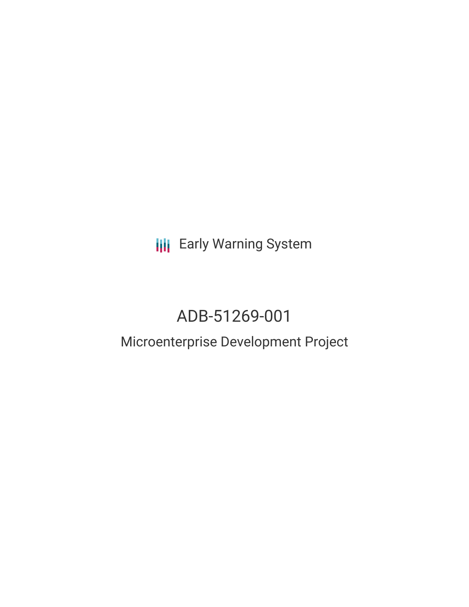## **III** Early Warning System

# ADB-51269-001

### Microenterprise Development Project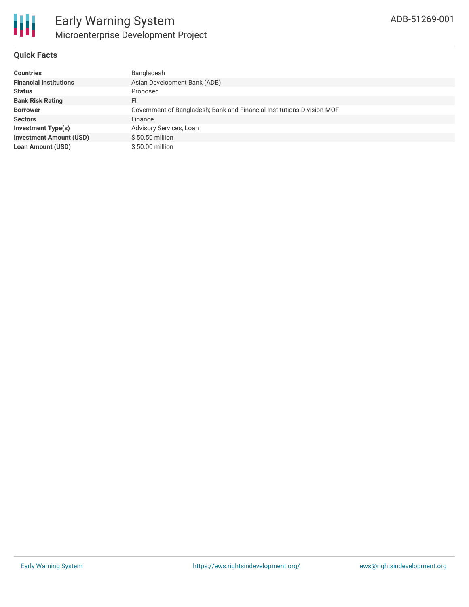

#### **Quick Facts**

| <b>Countries</b>               | Bangladesh                                                             |
|--------------------------------|------------------------------------------------------------------------|
| <b>Financial Institutions</b>  | Asian Development Bank (ADB)                                           |
| <b>Status</b>                  | Proposed                                                               |
| <b>Bank Risk Rating</b>        | FI                                                                     |
| <b>Borrower</b>                | Government of Bangladesh; Bank and Financial Institutions Division-MOF |
| <b>Sectors</b>                 | Finance                                                                |
| Investment Type(s)             | Advisory Services, Loan                                                |
| <b>Investment Amount (USD)</b> | $$50.50$ million                                                       |
| <b>Loan Amount (USD)</b>       | $$50.00$ million                                                       |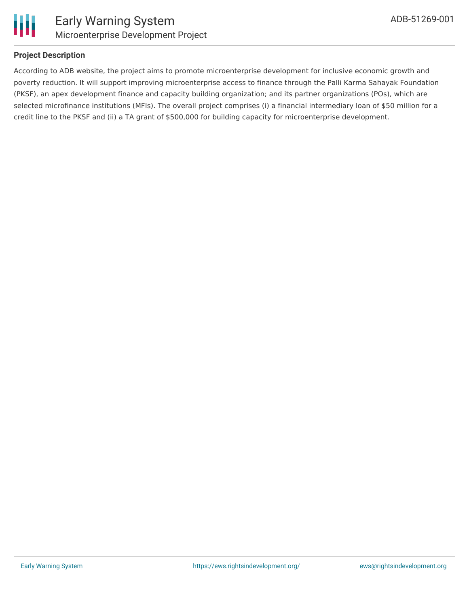

#### **Project Description**

According to ADB website, the project aims to promote microenterprise development for inclusive economic growth and poverty reduction. It will support improving microenterprise access to finance through the Palli Karma Sahayak Foundation (PKSF), an apex development finance and capacity building organization; and its partner organizations (POs), which are selected microfinance institutions (MFIs). The overall project comprises (i) a financial intermediary loan of \$50 million for a credit line to the PKSF and (ii) a TA grant of \$500,000 for building capacity for microenterprise development.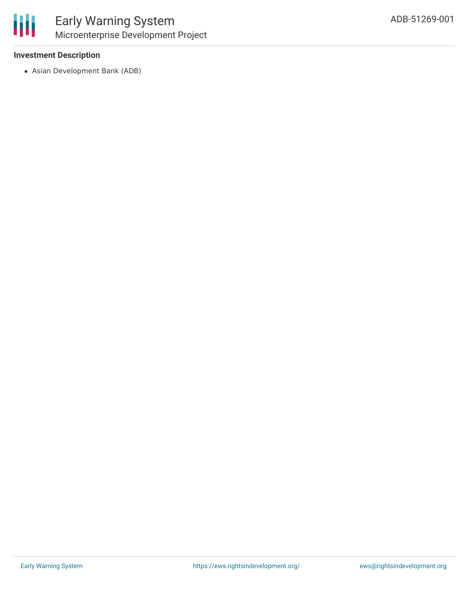#### **Investment Description**

Asian Development Bank (ADB)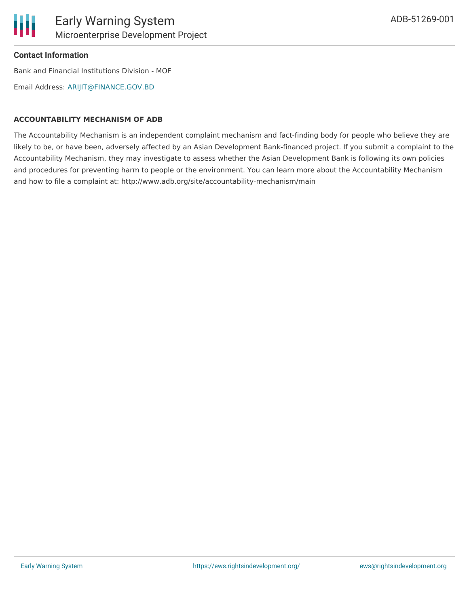### **Contact Information**

Bank and Financial Institutions Division - MOF

Email Address: [ARIJIT@FINANCE.GOV.BD](mailto:ARIJIT@FINANCE.GOV.BD)

#### **ACCOUNTABILITY MECHANISM OF ADB**

The Accountability Mechanism is an independent complaint mechanism and fact-finding body for people who believe they are likely to be, or have been, adversely affected by an Asian Development Bank-financed project. If you submit a complaint to the Accountability Mechanism, they may investigate to assess whether the Asian Development Bank is following its own policies and procedures for preventing harm to people or the environment. You can learn more about the Accountability Mechanism and how to file a complaint at: http://www.adb.org/site/accountability-mechanism/main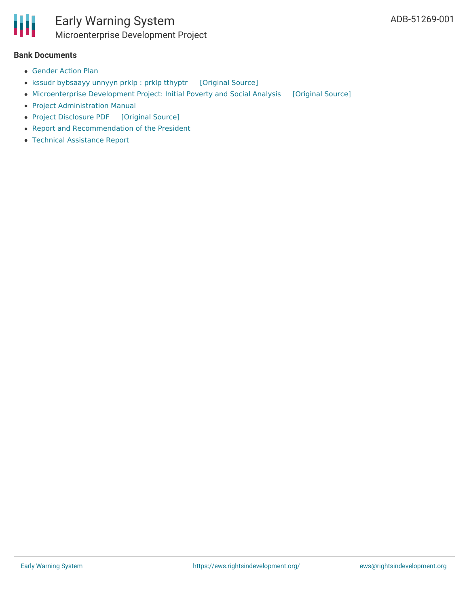

#### **Bank Documents**

- [Gender](https://www.adb.org/sites/default/files/project-documents/51269/51269-001-gap-en.pdf) Action Plan
- kssudr [bybsaayy](https://ewsdata.rightsindevelopment.org/files/documents/01/ADB-51269-001_tV5wUyO.pdf) unnyyn prklp : prklp tthyptr [\[Original](https://www.adb.org/bn/projects/documents/ban-51269-001-pds) Source]
- [Microenterprise](https://ewsdata.rightsindevelopment.org/files/documents/01/ADB-51269-001_o1LAnvc.pdf) Development Project: Initial Poverty and Social Analysis [\[Original](https://www.adb.org/projects/documents/ban-51269-001-ipsa) Source]
- Project [Administration](https://www.adb.org/sites/default/files/project-documents/51269/51269-001-pam-en.pdf) Manual
- Project [Disclosure](https://ewsdata.rightsindevelopment.org/files/documents/01/ADB-51269-001.pdf) PDF [\[Original](https://www.adb.org/printpdf/projects/51269-001/main) Source]
- Report and [Recommendation](https://www.adb.org/sites/default/files/project-documents/51269/51269-001-rrp-en.pdf) of the President
- Technical [Assistance](https://www.adb.org/sites/default/files/project-documents/51269/51269-001-tar-en.pdf) Report